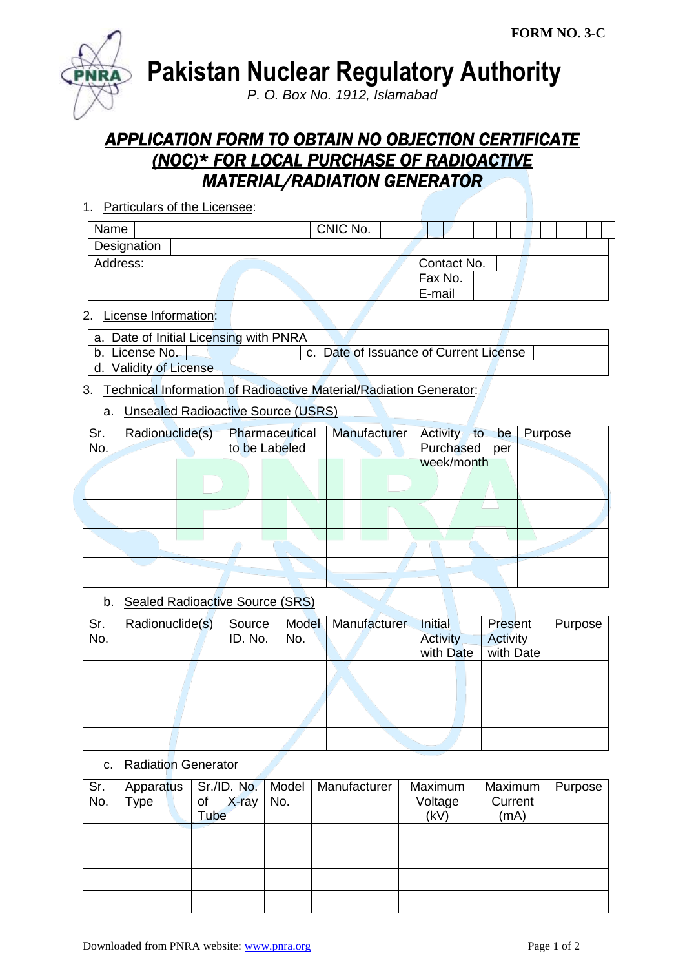

**Pakistan Nuclear Regulatory Authority**

*P. O. Box No. 1912, Islamabad*

# *APPLICATION FORM TO OBTAIN NO OBJECTION CERTIFICATE (NOC)\* FOR LOCAL PURCHASE OF RADIOACTIVE MATERIAL/RADIATION GENERATOR*

1. Particulars of the Licensee:

| Name        |  | CNIC No. |             |  |  |  |  |  |
|-------------|--|----------|-------------|--|--|--|--|--|
| Designation |  |          |             |  |  |  |  |  |
| Address:    |  |          | Contact No. |  |  |  |  |  |
|             |  |          | Fax No.     |  |  |  |  |  |
|             |  |          | E-mail      |  |  |  |  |  |

### 2. License Information:

| a. Date of Initial Licensing with PNRA |  |                                        |  |
|----------------------------------------|--|----------------------------------------|--|
| b. License No.                         |  | c. Date of Issuance of Current License |  |
| d. Validity of License                 |  |                                        |  |

# 3. Technical Information of Radioactive Material/Radiation Generator:

# a. Unsealed Radioactive Source (USRS)

| Sr.<br>No. | Radionuclide(s) | Pharmaceutical<br>to be Labeled | Manufacturer | Activity to be<br>Purchased per<br>week/month | Purpose |
|------------|-----------------|---------------------------------|--------------|-----------------------------------------------|---------|
|            |                 |                                 |              |                                               |         |
|            |                 |                                 |              |                                               |         |
|            |                 |                                 |              |                                               |         |
|            |                 |                                 |              |                                               |         |

## b. Sealed Radioactive Source (SRS)

| Sr. | Radionuclide(s) | Source  | Model | Manufacturer | Initial         | Present         | Purpose |
|-----|-----------------|---------|-------|--------------|-----------------|-----------------|---------|
| No. |                 | ID. No. | No.   |              | <b>Activity</b> | <b>Activity</b> |         |
|     |                 |         |       |              | with Date       | with Date       |         |
|     |                 |         |       |              |                 |                 |         |
|     |                 |         |       |              |                 |                 |         |
|     |                 |         |       |              |                 |                 |         |
|     |                 |         |       |              |                 |                 |         |

#### c. Radiation Generator

| Sr.<br>No. | Type | X-ray l<br>of<br>Tube | No. | Apparatus   Sr./ID. No.   Model   Manufacturer | Maximum<br>Voltage<br>(kV) | Maximum<br>Current<br>(mA) | Purpose |
|------------|------|-----------------------|-----|------------------------------------------------|----------------------------|----------------------------|---------|
|            |      |                       |     |                                                |                            |                            |         |
|            |      |                       |     |                                                |                            |                            |         |
|            |      |                       |     |                                                |                            |                            |         |
|            |      |                       |     |                                                |                            |                            |         |